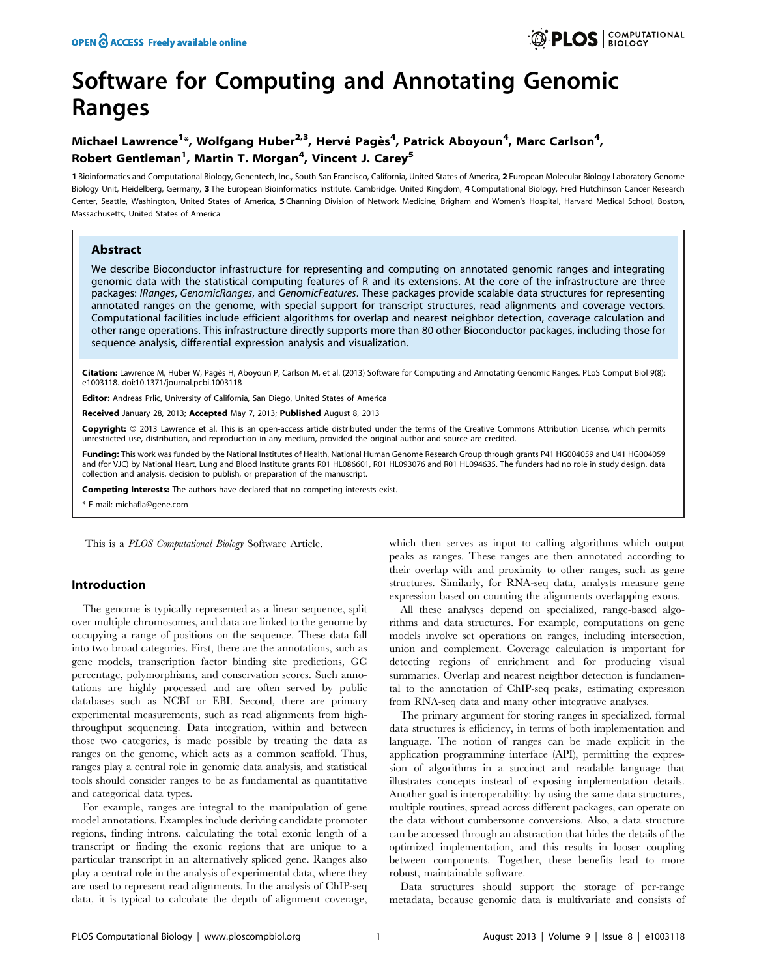# Software for Computing and Annotating Genomic Ranges

## Michael Lawrence<sup>1</sup>\*, Wolfgang Huber<sup>2,3</sup>, Hervé Pagès<sup>4</sup>, Patrick Aboyoun<sup>4</sup>, Marc Carlson<sup>4</sup>, Robert Gentleman<sup>1</sup>, Martin T. Morgan<sup>4</sup>, Vincent J. Carey<sup>5</sup>

1 Bioinformatics and Computational Biology, Genentech, Inc., South San Francisco, California, United States of America, 2 European Molecular Biology Laboratory Genome Biology Unit, Heidelberg, Germany, 3 The European Bioinformatics Institute, Cambridge, United Kingdom, 4 Computational Biology, Fred Hutchinson Cancer Research Center, Seattle, Washington, United States of America, 5 Channing Division of Network Medicine, Brigham and Women's Hospital, Harvard Medical School, Boston, Massachusetts, United States of America

## Abstract

We describe Bioconductor infrastructure for representing and computing on annotated genomic ranges and integrating genomic data with the statistical computing features of R and its extensions. At the core of the infrastructure are three packages: IRanges, GenomicRanges, and GenomicFeatures. These packages provide scalable data structures for representing annotated ranges on the genome, with special support for transcript structures, read alignments and coverage vectors. Computational facilities include efficient algorithms for overlap and nearest neighbor detection, coverage calculation and other range operations. This infrastructure directly supports more than 80 other Bioconductor packages, including those for sequence analysis, differential expression analysis and visualization.

Citation: Lawrence M, Huber W, Pagès H, Aboyoun P, Carlson M, et al. (2013) Software for Computing and Annotating Genomic Ranges. PLoS Comput Biol 9(8): e1003118. doi:10.1371/journal.pcbi.1003118

Editor: Andreas Prlic, University of California, San Diego, United States of America

Received January 28, 2013; Accepted May 7, 2013; Published August 8, 2013

**Copyright:** © 2013 Lawrence et al. This is an open-access article distributed under the terms of the Creative Commons Attribution License, which permits unrestricted use, distribution, and reproduction in any medium, provided the original author and source are credited.

Funding: This work was funded by the National Institutes of Health, National Human Genome Research Group through grants P41 HG004059 and U41 HG004059 and (for VJC) by National Heart, Lung and Blood Institute grants R01 HL086601, R01 HL093076 and R01 HL094635. The funders had no role in study design, data collection and analysis, decision to publish, or preparation of the manuscript.

Competing Interests: The authors have declared that no competing interests exist.

\* E-mail: michafla@gene.com

This is a PLOS Computational Biology Software Article.

## Introduction

The genome is typically represented as a linear sequence, split over multiple chromosomes, and data are linked to the genome by occupying a range of positions on the sequence. These data fall into two broad categories. First, there are the annotations, such as gene models, transcription factor binding site predictions, GC percentage, polymorphisms, and conservation scores. Such annotations are highly processed and are often served by public databases such as NCBI or EBI. Second, there are primary experimental measurements, such as read alignments from highthroughput sequencing. Data integration, within and between those two categories, is made possible by treating the data as ranges on the genome, which acts as a common scaffold. Thus, ranges play a central role in genomic data analysis, and statistical tools should consider ranges to be as fundamental as quantitative and categorical data types.

For example, ranges are integral to the manipulation of gene model annotations. Examples include deriving candidate promoter regions, finding introns, calculating the total exonic length of a transcript or finding the exonic regions that are unique to a particular transcript in an alternatively spliced gene. Ranges also play a central role in the analysis of experimental data, where they are used to represent read alignments. In the analysis of ChIP-seq data, it is typical to calculate the depth of alignment coverage, which then serves as input to calling algorithms which output peaks as ranges. These ranges are then annotated according to their overlap with and proximity to other ranges, such as gene structures. Similarly, for RNA-seq data, analysts measure gene expression based on counting the alignments overlapping exons.

All these analyses depend on specialized, range-based algorithms and data structures. For example, computations on gene models involve set operations on ranges, including intersection, union and complement. Coverage calculation is important for detecting regions of enrichment and for producing visual summaries. Overlap and nearest neighbor detection is fundamental to the annotation of ChIP-seq peaks, estimating expression from RNA-seq data and many other integrative analyses.

The primary argument for storing ranges in specialized, formal data structures is efficiency, in terms of both implementation and language. The notion of ranges can be made explicit in the application programming interface (API), permitting the expression of algorithms in a succinct and readable language that illustrates concepts instead of exposing implementation details. Another goal is interoperability: by using the same data structures, multiple routines, spread across different packages, can operate on the data without cumbersome conversions. Also, a data structure can be accessed through an abstraction that hides the details of the optimized implementation, and this results in looser coupling between components. Together, these benefits lead to more robust, maintainable software.

Data structures should support the storage of per-range metadata, because genomic data is multivariate and consists of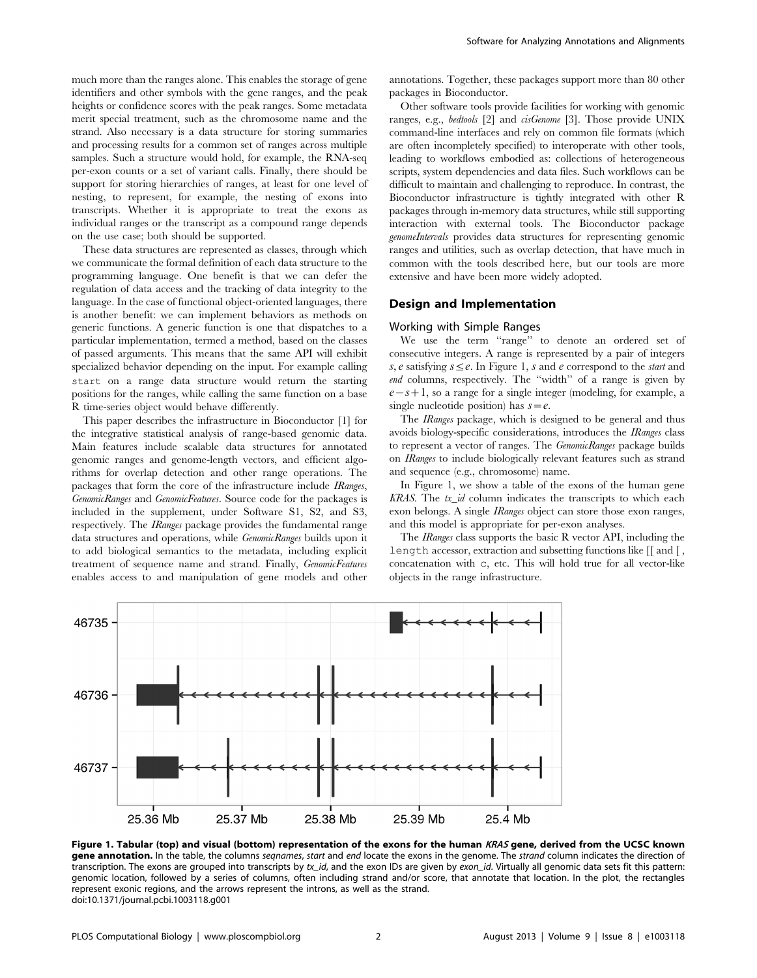much more than the ranges alone. This enables the storage of gene identifiers and other symbols with the gene ranges, and the peak heights or confidence scores with the peak ranges. Some metadata merit special treatment, such as the chromosome name and the strand. Also necessary is a data structure for storing summaries and processing results for a common set of ranges across multiple samples. Such a structure would hold, for example, the RNA-seq per-exon counts or a set of variant calls. Finally, there should be support for storing hierarchies of ranges, at least for one level of nesting, to represent, for example, the nesting of exons into transcripts. Whether it is appropriate to treat the exons as individual ranges or the transcript as a compound range depends on the use case; both should be supported.

These data structures are represented as classes, through which we communicate the formal definition of each data structure to the programming language. One benefit is that we can defer the regulation of data access and the tracking of data integrity to the language. In the case of functional object-oriented languages, there is another benefit: we can implement behaviors as methods on generic functions. A generic function is one that dispatches to a particular implementation, termed a method, based on the classes of passed arguments. This means that the same API will exhibit specialized behavior depending on the input. For example calling start on a range data structure would return the starting positions for the ranges, while calling the same function on a base R time-series object would behave differently.

This paper describes the infrastructure in Bioconductor [1] for the integrative statistical analysis of range-based genomic data. Main features include scalable data structures for annotated genomic ranges and genome-length vectors, and efficient algorithms for overlap detection and other range operations. The packages that form the core of the infrastructure include IRanges, GenomicRanges and GenomicFeatures. Source code for the packages is included in the supplement, under Software S1, S2, and S3, respectively. The IRanges package provides the fundamental range data structures and operations, while *GenomicRanges* builds upon it to add biological semantics to the metadata, including explicit treatment of sequence name and strand. Finally, GenomicFeatures enables access to and manipulation of gene models and other

annotations. Together, these packages support more than 80 other packages in Bioconductor.

Other software tools provide facilities for working with genomic ranges, e.g., bedtools [2] and cisGenome [3]. Those provide UNIX command-line interfaces and rely on common file formats (which are often incompletely specified) to interoperate with other tools, leading to workflows embodied as: collections of heterogeneous scripts, system dependencies and data files. Such workflows can be difficult to maintain and challenging to reproduce. In contrast, the Bioconductor infrastructure is tightly integrated with other R packages through in-memory data structures, while still supporting interaction with external tools. The Bioconductor package genomeIntervals provides data structures for representing genomic ranges and utilities, such as overlap detection, that have much in common with the tools described here, but our tools are more extensive and have been more widely adopted.

## Design and Implementation

#### Working with Simple Ranges

We use the term ''range'' to denote an ordered set of consecutive integers. A range is represented by a pair of integers s, e satisfying  $s \leq e$ . In Figure 1, s and e correspond to the start and end columns, respectively. The ''width'' of a range is given by  $e-s+1$ , so a range for a single integer (modeling, for example, a single nucleotide position) has  $s=e$ .

The IRanges package, which is designed to be general and thus avoids biology-specific considerations, introduces the IRanges class to represent a vector of ranges. The GenomicRanges package builds on IRanges to include biologically relevant features such as strand and sequence (e.g., chromosome) name.

In Figure 1, we show a table of the exons of the human gene KRAS. The  $tx_id$  column indicates the transcripts to which each exon belongs. A single IRanges object can store those exon ranges, and this model is appropriate for per-exon analyses.

The IRanges class supports the basic R vector API, including the length accessor, extraction and subsetting functions like  $[[ \text{ and } ],$ concatenation with c, etc. This will hold true for all vector-like objects in the range infrastructure.



Figure 1. Tabular (top) and visual (bottom) representation of the exons for the human KRAS gene, derived from the UCSC known gene annotation. In the table, the columns seqnames, start and end locate the exons in the genome. The strand column indicates the direction of transcription. The exons are grouped into transcripts by  $tx_id$ , and the exon IDs are given by exon\_id. Virtually all genomic data sets fit this pattern: genomic location, followed by a series of columns, often including strand and/or score, that annotate that location. In the plot, the rectangles represent exonic regions, and the arrows represent the introns, as well as the strand. doi:10.1371/journal.pcbi.1003118.g001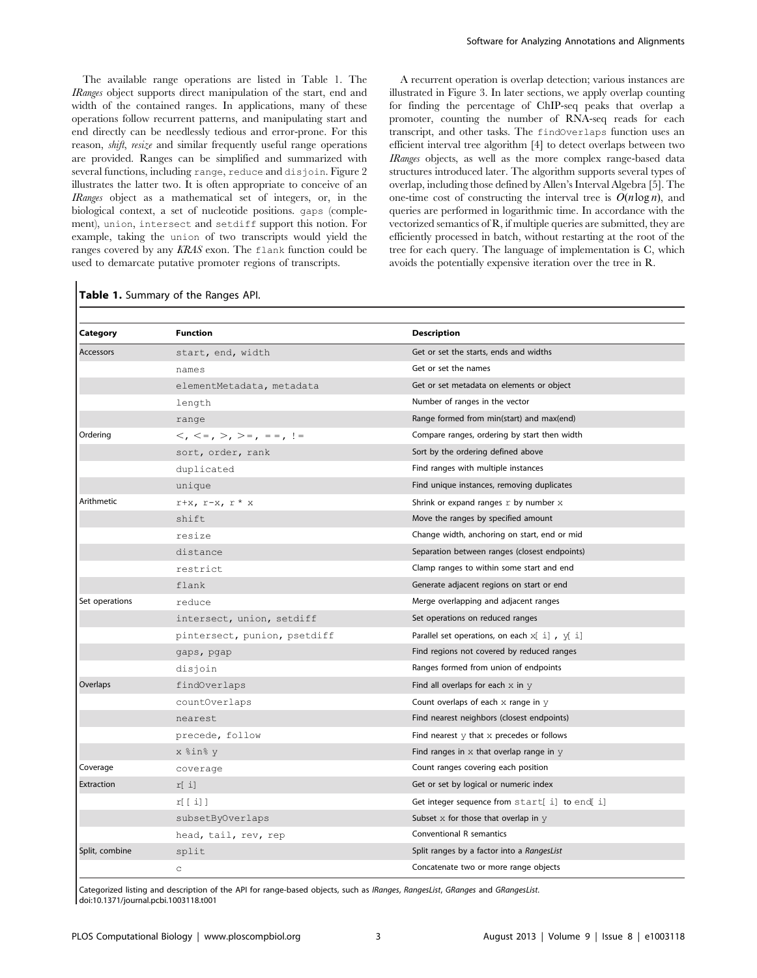The available range operations are listed in Table 1. The IRanges object supports direct manipulation of the start, end and width of the contained ranges. In applications, many of these operations follow recurrent patterns, and manipulating start and end directly can be needlessly tedious and error-prone. For this reason, shift, resize and similar frequently useful range operations are provided. Ranges can be simplified and summarized with several functions, including range, reduce and disjoin. Figure 2 illustrates the latter two. It is often appropriate to conceive of an IRanges object as a mathematical set of integers, or, in the biological context, a set of nucleotide positions. gaps (complement), union, intersect and setdiff support this notion. For example, taking the union of two transcripts would yield the ranges covered by any KRAS exon. The flank function could be used to demarcate putative promoter regions of transcripts.

A recurrent operation is overlap detection; various instances are illustrated in Figure 3. In later sections, we apply overlap counting for finding the percentage of ChIP-seq peaks that overlap a promoter, counting the number of RNA-seq reads for each transcript, and other tasks. The findOverlaps function uses an efficient interval tree algorithm [4] to detect overlaps between two IRanges objects, as well as the more complex range-based data structures introduced later. The algorithm supports several types of overlap, including those defined by Allen's Interval Algebra [5]. The one-time cost of constructing the interval tree is  $O(n \log n)$ , and queries are performed in logarithmic time. In accordance with the vectorized semantics of R, if multiple queries are submitted, they are efficiently processed in batch, without restarting at the root of the tree for each query. The language of implementation is C, which avoids the potentially expensive iteration over the tree in R.

| Category         | <b>Function</b>                           | <b>Description</b>                               |
|------------------|-------------------------------------------|--------------------------------------------------|
| <b>Accessors</b> | start, end, width                         | Get or set the starts, ends and widths           |
|                  | names                                     | Get or set the names                             |
|                  | elementMetadata, metadata                 | Get or set metadata on elements or object        |
|                  | length                                    | Number of ranges in the vector                   |
|                  | range                                     | Range formed from min(start) and max(end)        |
| Ordering         | $\lt$ , $\lt$ = , $>$ , $>$ = , = = , ! = | Compare ranges, ordering by start then width     |
|                  | sort, order, rank                         | Sort by the ordering defined above               |
|                  | duplicated                                | Find ranges with multiple instances              |
|                  | unique                                    | Find unique instances, removing duplicates       |
| Arithmetic       | $r+x$ , $r-x$ , $r * x$                   | Shrink or expand ranges $r$ by number $x$        |
|                  | shift                                     | Move the ranges by specified amount              |
|                  | resize                                    | Change width, anchoring on start, end or mid     |
|                  | distance                                  | Separation between ranges (closest endpoints)    |
|                  | restrict                                  | Clamp ranges to within some start and end        |
|                  | flank                                     | Generate adjacent regions on start or end        |
| Set operations   | reduce                                    | Merge overlapping and adjacent ranges            |
|                  | intersect, union, setdiff                 | Set operations on reduced ranges                 |
|                  | pintersect, punion, psetdiff              | Parallel set operations, on each $x[i]$ , $y[i]$ |
|                  | gaps, pgap                                | Find regions not covered by reduced ranges       |
|                  | disjoin                                   | Ranges formed from union of endpoints            |
| Overlaps         | findOverlaps                              | Find all overlaps for each $x$ in $y$            |
|                  | countOverlaps                             | Count overlaps of each $x$ range in $y$          |
|                  | nearest                                   | Find nearest neighbors (closest endpoints)       |
|                  | precede, follow                           | Find nearest $y$ that $x$ precedes or follows    |
|                  | x %in% y                                  | Find ranges in $x$ that overlap range in $y$     |
| Coverage         | coverage                                  | Count ranges covering each position              |
| Extraction       | r[i]                                      | Get or set by logical or numeric index           |
|                  | r[ [i] ]                                  | Get integer sequence from start[i] to end[i]     |
|                  | subsetByOverlaps                          | Subset $x$ for those that overlap in $y$         |
|                  | head, tail, rev, rep                      | Conventional R semantics                         |
| Split, combine   | split                                     | Split ranges by a factor into a RangesList       |
|                  | $\mathsf C$                               | Concatenate two or more range objects            |

## Table 1. Summary of the Ranges API.

Categorized listing and description of the API for range-based objects, such as IRanges, RangesList, GRanges and GRangesList. doi:10.1371/journal.pcbi.1003118.t001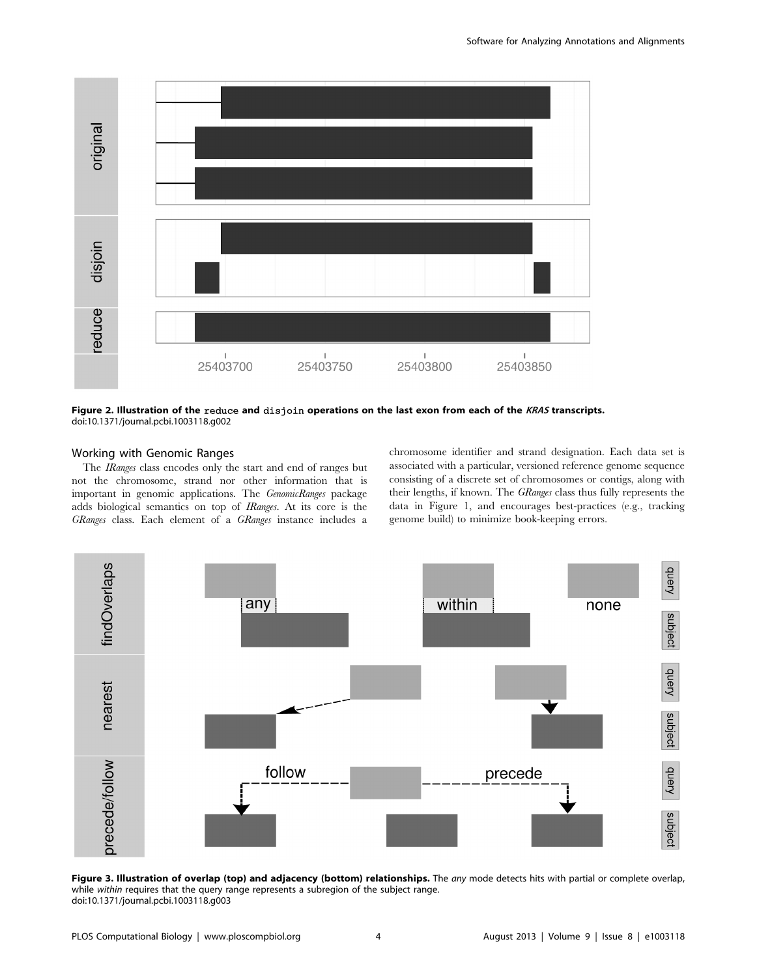

Figure 2. Illustration of the reduce and disjoin operations on the last exon from each of the KRAS transcripts. doi:10.1371/journal.pcbi.1003118.g002

## Working with Genomic Ranges

The IRanges class encodes only the start and end of ranges but not the chromosome, strand nor other information that is important in genomic applications. The GenomicRanges package adds biological semantics on top of IRanges. At its core is the GRanges class. Each element of a GRanges instance includes a

chromosome identifier and strand designation. Each data set is associated with a particular, versioned reference genome sequence consisting of a discrete set of chromosomes or contigs, along with their lengths, if known. The GRanges class thus fully represents the data in Figure 1, and encourages best-practices (e.g., tracking genome build) to minimize book-keeping errors.



Figure 3. Illustration of overlap (top) and adjacency (bottom) relationships. The any mode detects hits with partial or complete overlap, while within requires that the query range represents a subregion of the subject range. doi:10.1371/journal.pcbi.1003118.g003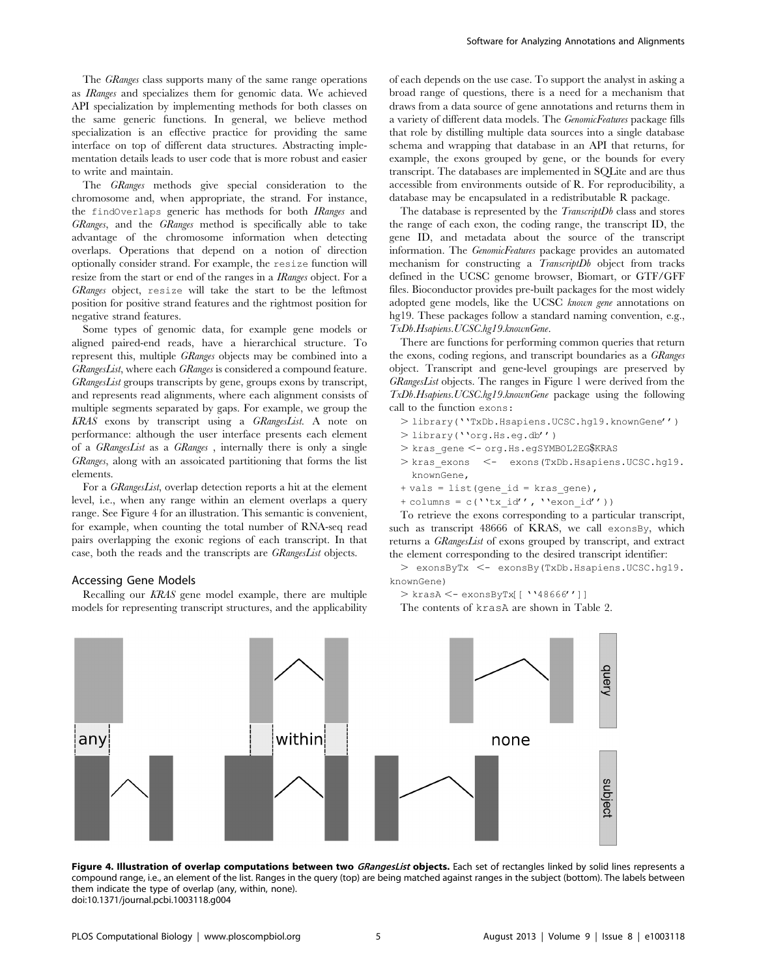The GRanges class supports many of the same range operations as IRanges and specializes them for genomic data. We achieved API specialization by implementing methods for both classes on the same generic functions. In general, we believe method specialization is an effective practice for providing the same interface on top of different data structures. Abstracting implementation details leads to user code that is more robust and easier to write and maintain.

The GRanges methods give special consideration to the chromosome and, when appropriate, the strand. For instance, the findOverlaps generic has methods for both IRanges and GRanges, and the GRanges method is specifically able to take advantage of the chromosome information when detecting overlaps. Operations that depend on a notion of direction optionally consider strand. For example, the resize function will resize from the start or end of the ranges in a IRanges object. For a GRanges object, resize will take the start to be the leftmost position for positive strand features and the rightmost position for negative strand features.

Some types of genomic data, for example gene models or aligned paired-end reads, have a hierarchical structure. To represent this, multiple GRanges objects may be combined into a GRangesList, where each GRanges is considered a compound feature. GRangesList groups transcripts by gene, groups exons by transcript, and represents read alignments, where each alignment consists of multiple segments separated by gaps. For example, we group the KRAS exons by transcript using a GRangesList. A note on performance: although the user interface presents each element of a GRangesList as a GRanges , internally there is only a single GRanges, along with an assoicated partitioning that forms the list elements.

For a GRangesList, overlap detection reports a hit at the element level, i.e., when any range within an element overlaps a query range. See Figure 4 for an illustration. This semantic is convenient, for example, when counting the total number of RNA-seq read pairs overlapping the exonic regions of each transcript. In that case, both the reads and the transcripts are GRangesList objects.

## Accessing Gene Models

Recalling our KRAS gene model example, there are multiple models for representing transcript structures, and the applicability

of each depends on the use case. To support the analyst in asking a broad range of questions, there is a need for a mechanism that draws from a data source of gene annotations and returns them in a variety of different data models. The GenomicFeatures package fills that role by distilling multiple data sources into a single database schema and wrapping that database in an API that returns, for example, the exons grouped by gene, or the bounds for every transcript. The databases are implemented in SQLite and are thus accessible from environments outside of R. For reproducibility, a database may be encapsulated in a redistributable R package.

The database is represented by the *TranscriptDb* class and stores the range of each exon, the coding range, the transcript ID, the gene ID, and metadata about the source of the transcript information. The GenomicFeatures package provides an automated mechanism for constructing a TranscriptDb object from tracks defined in the UCSC genome browser, Biomart, or GTF/GFF files. Bioconductor provides pre-built packages for the most widely adopted gene models, like the UCSC known gene annotations on hg19. These packages follow a standard naming convention, e.g., TxDb.Hsapiens.UCSC.hg19.knownGene.

There are functions for performing common queries that return the exons, coding regions, and transcript boundaries as a GRanges object. Transcript and gene-level groupings are preserved by GRangesList objects. The ranges in Figure 1 were derived from the TxDb.Hsapiens.UCSC.hg19.knownGene package using the following call to the function exons:

- . library(''TxDb.Hsapiens.UCSC.hg19.knownGene'')
- . library(''org.Hs.eg.db'')
- > kras\_gene <- org.Hs.egSYMBOL2EG\$KRAS
- > kras exons <- exons(TxDb.Hsapiens.UCSC.hq19. knownGene,
- + vals = list(gene id = kras gene),
- + columns =  $c('tx id'', 'exon id'')$

To retrieve the exons corresponding to a particular transcript, such as transcript 48666 of KRAS, we call exonsBy, which returns a GRangesList of exons grouped by transcript, and extract the element corresponding to the desired transcript identifier:

> exonsByTx <- exonsBy(TxDb.Hsapiens.UCSC.hg19. knownGene)

> krasA <- exonsByTx[[''48666'']]

The contents of krasA are shown in Table 2.



Figure 4. Illustration of overlap computations between two GRangesList objects. Each set of rectangles linked by solid lines represents a compound range, i.e., an element of the list. Ranges in the query (top) are being matched against ranges in the subject (bottom). The labels between them indicate the type of overlap (any, within, none). doi:10.1371/journal.pcbi.1003118.g004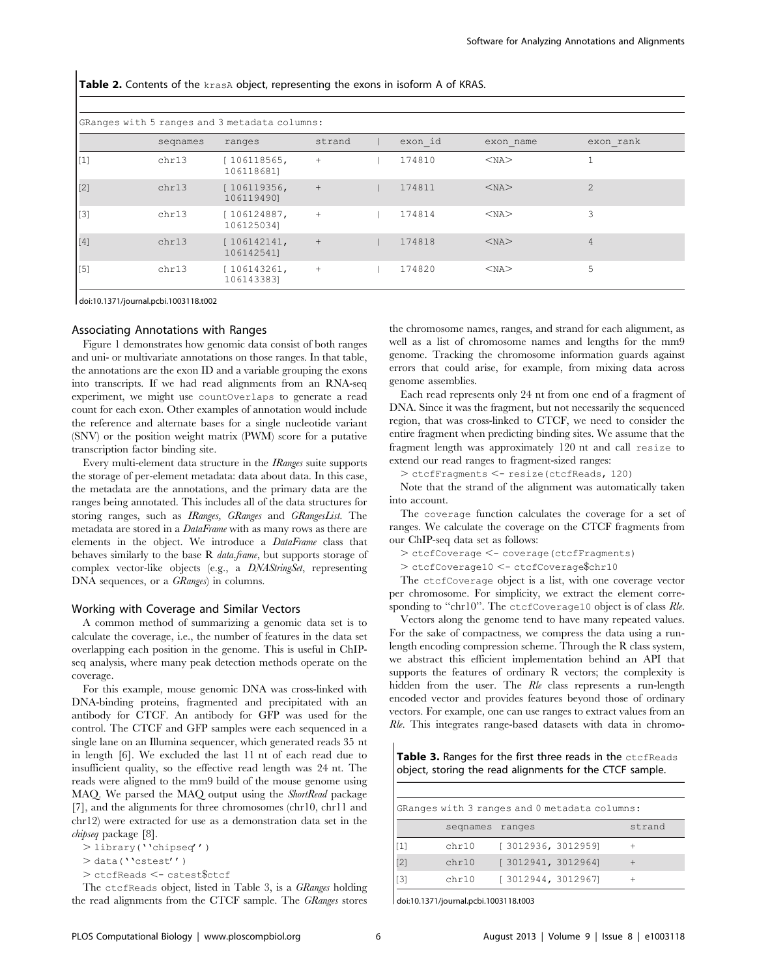Table 2. Contents of the  $k_{\text{EASA}}$  object, representing the exons in isoform A of KRAS.

|                  | segnames | ranges                    | strand |  | exon id | exon name  | exon rank     |
|------------------|----------|---------------------------|--------|--|---------|------------|---------------|
| $\left[1\right]$ | chr13    | 106118565,<br>1061186811  | $^{+}$ |  | 174810  | $<$ NA $>$ |               |
| [2]              | chr13    | [106119356,<br>106119490] | $+$    |  | 174811  | $<$ NA $>$ | $\mathcal{P}$ |
| [3]              | chr13    | 106124887,<br>1061250341  | $^{+}$ |  | 174814  | $<$ NA $>$ | 3             |
| [4]              | chr13    | [106142141,<br>1061425411 | $+$    |  | 174818  | $<$ NA $>$ | 4             |
| [5]              | chr13    | 106143261,<br>1061433831  | $^{+}$ |  | 174820  | $<$ NA $>$ | 5             |

GRanges with 5 ranges and 3 metadata columns:

doi:10.1371/journal.pcbi.1003118.t002

## Associating Annotations with Ranges

Figure 1 demonstrates how genomic data consist of both ranges and uni- or multivariate annotations on those ranges. In that table, the annotations are the exon ID and a variable grouping the exons into transcripts. If we had read alignments from an RNA-seq experiment, we might use countOverlaps to generate a read count for each exon. Other examples of annotation would include the reference and alternate bases for a single nucleotide variant (SNV) or the position weight matrix (PWM) score for a putative transcription factor binding site.

Every multi-element data structure in the IRanges suite supports the storage of per-element metadata: data about data. In this case, the metadata are the annotations, and the primary data are the ranges being annotated. This includes all of the data structures for storing ranges, such as IRanges, GRanges and GRangesList. The metadata are stored in a DataFrame with as many rows as there are elements in the object. We introduce a DataFrame class that behaves similarly to the base R data.frame, but supports storage of complex vector-like objects (e.g., a DNAStringSet, representing DNA sequences, or a *GRanges*) in columns.

#### Working with Coverage and Similar Vectors

A common method of summarizing a genomic data set is to calculate the coverage, i.e., the number of features in the data set overlapping each position in the genome. This is useful in ChIPseq analysis, where many peak detection methods operate on the coverage.

For this example, mouse genomic DNA was cross-linked with DNA-binding proteins, fragmented and precipitated with an antibody for CTCF. An antibody for GFP was used for the control. The CTCF and GFP samples were each sequenced in a single lane on an Illumina sequencer, which generated reads 35 nt in length [6]. We excluded the last 11 nt of each read due to insufficient quality, so the effective read length was 24 nt. The reads were aligned to the mm9 build of the mouse genome using MAQ. We parsed the MAQ output using the ShortRead package [7], and the alignments for three chromosomes (chr10, chr11 and chr12) were extracted for use as a demonstration data set in the chipseq package [8].

. library(''chipseq'')

. data(''cstest'')

> ctcfReads <- cstest\$ctcf

The ctcfReads object, listed in Table 3, is a GRanges holding the read alignments from the CTCF sample. The GRanges stores

the chromosome names, ranges, and strand for each alignment, as well as a list of chromosome names and lengths for the mm9 genome. Tracking the chromosome information guards against errors that could arise, for example, from mixing data across genome assemblies.

Each read represents only 24 nt from one end of a fragment of DNA. Since it was the fragment, but not necessarily the sequenced region, that was cross-linked to CTCF, we need to consider the entire fragment when predicting binding sites. We assume that the fragment length was approximately 120 nt and call resize to extend our read ranges to fragment-sized ranges:

 $>$  ctcfFragments  $<-$  resize(ctcfReads, 120)

Note that the strand of the alignment was automatically taken into account.

The coverage function calculates the coverage for a set of ranges. We calculate the coverage on the CTCF fragments from our ChIP-seq data set as follows:

> ctcfCoverage <- coverage(ctcfFragments)

> ctcfCoverage10 <- ctcfCoverage\$chr10

The ctcfCoverage object is a list, with one coverage vector per chromosome. For simplicity, we extract the element corresponding to "chr10". The ctcfCoverage10 object is of class Rle.

Vectors along the genome tend to have many repeated values. For the sake of compactness, we compress the data using a runlength encoding compression scheme. Through the R class system, we abstract this efficient implementation behind an API that supports the features of ordinary R vectors; the complexity is hidden from the user. The Rle class represents a run-length encoded vector and provides features beyond those of ordinary vectors. For example, one can use ranges to extract values from an Rle. This integrates range-based datasets with data in chromo-

Table 3. Ranges for the first three reads in the ctcfReads object, storing the read alignments for the CTCF sample.

| GRanges with 3 ranges and 0 metadata columns: |          |                     |        |  |  |  |
|-----------------------------------------------|----------|---------------------|--------|--|--|--|
|                                               | segnames | ranges              | strand |  |  |  |
| $\lfloor 1 \rfloor$                           | chr10    | [ 3012936, 3012959] |        |  |  |  |
| $[2]$                                         | chr10    | [3012941, 3012964]  |        |  |  |  |
| $\left[ \left[ 3\right] \right]$              | chr10    | [ 3012944, 3012967] |        |  |  |  |

doi:10.1371/journal.pcbi.1003118.t003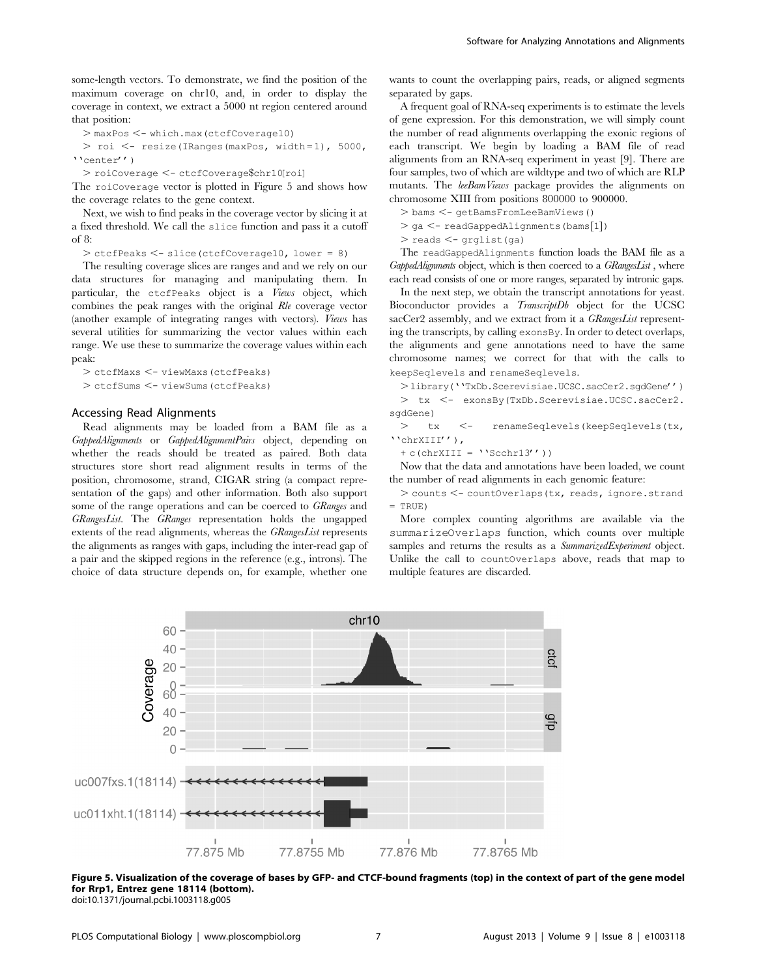some-length vectors. To demonstrate, we find the position of the maximum coverage on chr10, and, in order to display the coverage in context, we extract a 5000 nt region centered around that position:

> maxPos <- which.max(ctcfCoverage10)

 $>$  roi  $\leq$  resize(IRanges(maxPos, width=1), 5000, ''center'')

> roiCoverage <- ctcfCoverage\$chr10[roi]

The roiCoverage vector is plotted in Figure 5 and shows how the coverage relates to the gene context.

Next, we wish to find peaks in the coverage vector by slicing it at a fixed threshold. We call the slice function and pass it a cutoff  $\alpha$ f 8:

 $>$  ctcfPeaks  $<-$  slice(ctcfCoverage10, lower = 8)

The resulting coverage slices are ranges and and we rely on our data structures for managing and manipulating them. In particular, the ctcfPeaks object is a Views object, which combines the peak ranges with the original Rle coverage vector (another example of integrating ranges with vectors). Views has several utilities for summarizing the vector values within each range. We use these to summarize the coverage values within each peak:

 $>$  ctcfMaxs  $\leq$ - viewMaxs(ctcfPeaks) > ctcfSums <- viewSums(ctcfPeaks)

#### Accessing Read Alignments

Read alignments may be loaded from a BAM file as a GappedAlignments or GappedAlignmentPairs object, depending on whether the reads should be treated as paired. Both data structures store short read alignment results in terms of the position, chromosome, strand, CIGAR string (a compact representation of the gaps) and other information. Both also support some of the range operations and can be coerced to GRanges and GRangesList. The GRanges representation holds the ungapped extents of the read alignments, whereas the GRangesList represents the alignments as ranges with gaps, including the inter-read gap of a pair and the skipped regions in the reference (e.g., introns). The choice of data structure depends on, for example, whether one wants to count the overlapping pairs, reads, or aligned segments separated by gaps.

A frequent goal of RNA-seq experiments is to estimate the levels of gene expression. For this demonstration, we will simply count the number of read alignments overlapping the exonic regions of each transcript. We begin by loading a BAM file of read alignments from an RNA-seq experiment in yeast [9]. There are four samples, two of which are wildtype and two of which are RLP mutants. The leeBamViews package provides the alignments on chromosome XIII from positions 800000 to 900000.

> bams <- getBamsFromLeeBamViews()

 $>$  ga  $\leq$  - readGappedAlignments (bams[1])

 $>$  reads  $<-$  grglist(ga)

The readGappedAlignments function loads the BAM file as a GappedAlignments object, which is then coerced to a GRangesList, where each read consists of one or more ranges, separated by intronic gaps.

In the next step, we obtain the transcript annotations for yeast. Bioconductor provides a *TranscriptDb* object for the UCSC sacCer2 assembly, and we extract from it a *GRangesList* representing the transcripts, by calling exonsBy. In order to detect overlaps, the alignments and gene annotations need to have the same chromosome names; we correct for that with the calls to keepSeqlevels and renameSeqlevels.

. library(''TxDb.Scerevisiae.UCSC.sacCer2.sgdGene'') > tx <- exonsBy(TxDb.Scerevisiae.UCSC.sacCer2. sgdGene)

> tx <- renameSeqlevels(keepSeqlevels(tx, ''chrXIII''),

 $+ c$ (chrXIII = ''Scchr13''))

Now that the data and annotations have been loaded, we count the number of read alignments in each genomic feature:

> counts <- countOverlaps(tx, reads, ignore.strand  $=$  TRUE)

More complex counting algorithms are available via the summarizeOverlaps function, which counts over multiple samples and returns the results as a SummarizedExperiment object. Unlike the call to countOverlaps above, reads that map to multiple features are discarded.



Figure 5. Visualization of the coverage of bases by GFP- and CTCF-bound fragments (top) in the context of part of the gene model for Rrp1, Entrez gene 18114 (bottom). doi:10.1371/journal.pcbi.1003118.g005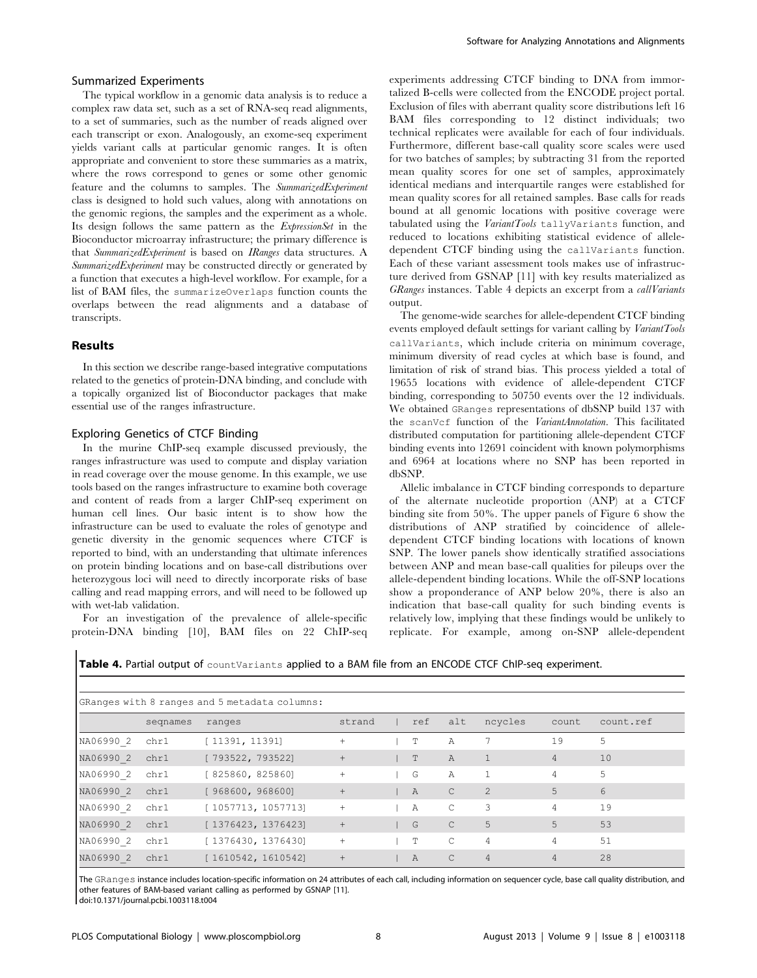## Summarized Experiments

The typical workflow in a genomic data analysis is to reduce a complex raw data set, such as a set of RNA-seq read alignments, to a set of summaries, such as the number of reads aligned over each transcript or exon. Analogously, an exome-seq experiment yields variant calls at particular genomic ranges. It is often appropriate and convenient to store these summaries as a matrix, where the rows correspond to genes or some other genomic feature and the columns to samples. The SummarizedExperiment class is designed to hold such values, along with annotations on the genomic regions, the samples and the experiment as a whole. Its design follows the same pattern as the ExpressionSet in the Bioconductor microarray infrastructure; the primary difference is that SummarizedExperiment is based on IRanges data structures. A SummarizedExperiment may be constructed directly or generated by a function that executes a high-level workflow. For example, for a list of BAM files, the summarizeOverlaps function counts the overlaps between the read alignments and a database of transcripts.

## Results

In this section we describe range-based integrative computations related to the genetics of protein-DNA binding, and conclude with a topically organized list of Bioconductor packages that make essential use of the ranges infrastructure.

#### Exploring Genetics of CTCF Binding

In the murine ChIP-seq example discussed previously, the ranges infrastructure was used to compute and display variation in read coverage over the mouse genome. In this example, we use tools based on the ranges infrastructure to examine both coverage and content of reads from a larger ChIP-seq experiment on human cell lines. Our basic intent is to show how the infrastructure can be used to evaluate the roles of genotype and genetic diversity in the genomic sequences where CTCF is reported to bind, with an understanding that ultimate inferences on protein binding locations and on base-call distributions over heterozygous loci will need to directly incorporate risks of base calling and read mapping errors, and will need to be followed up with wet-lab validation.

For an investigation of the prevalence of allele-specific protein-DNA binding [10], BAM files on 22 ChIP-seq experiments addressing CTCF binding to DNA from immortalized B-cells were collected from the ENCODE project portal. Exclusion of files with aberrant quality score distributions left 16 BAM files corresponding to 12 distinct individuals; two technical replicates were available for each of four individuals. Furthermore, different base-call quality score scales were used for two batches of samples; by subtracting 31 from the reported mean quality scores for one set of samples, approximately identical medians and interquartile ranges were established for mean quality scores for all retained samples. Base calls for reads bound at all genomic locations with positive coverage were tabulated using the *VariantTools* tallyVariants function, and reduced to locations exhibiting statistical evidence of alleledependent CTCF binding using the callVariants function. Each of these variant assessment tools makes use of infrastructure derived from GSNAP [11] with key results materialized as GRanges instances. Table 4 depicts an excerpt from a callVariants output.

The genome-wide searches for allele-dependent CTCF binding events employed default settings for variant calling by  $\textit{VariantTools}$ callVariants, which include criteria on minimum coverage, minimum diversity of read cycles at which base is found, and limitation of risk of strand bias. This process yielded a total of 19655 locations with evidence of allele-dependent CTCF binding, corresponding to 50750 events over the 12 individuals. We obtained GRanges representations of dbSNP build 137 with the scanVcf function of the VariantAnnotation. This facilitated distributed computation for partitioning allele-dependent CTCF binding events into 12691 coincident with known polymorphisms and 6964 at locations where no SNP has been reported in dbSNP.

Allelic imbalance in CTCF binding corresponds to departure of the alternate nucleotide proportion (ANP) at a CTCF binding site from 50%. The upper panels of Figure 6 show the distributions of ANP stratified by coincidence of alleledependent CTCF binding locations with locations of known SNP. The lower panels show identically stratified associations between ANP and mean base-call qualities for pileups over the allele-dependent binding locations. While the off-SNP locations show a proponderance of ANP below 20%, there is also an indication that base-call quality for such binding events is relatively low, implying that these findings would be unlikely to replicate. For example, among on-SNP allele-dependent

Table 4. Partial output of countVariants applied to a BAM file from an ENCODE CTCF ChIP-seq experiment.

| GRanges with 8 ranges and 5 metadata columns: |          |                    |        |  |             |              |                |       |           |
|-----------------------------------------------|----------|--------------------|--------|--|-------------|--------------|----------------|-------|-----------|
|                                               | segnames | ranges             | strand |  | ref         | alt          | ncycles        | count | count.ref |
| NA06990 2                                     | chr1     | [11391, 11391]     | $^{+}$ |  | Т           | Α            |                | 19    | 5         |
| NA06990 2                                     | chr1     | [793522, 793522]   | $+$    |  | $\mathbb T$ | A            | $\mathbf{1}$   | 4     | 10        |
| NA06990 2                                     | chr1     | [825860, 825860]   | $^{+}$ |  | G           | Α            | 1              | 4     | 5         |
| NA06990 2                                     | chr1     | [968600, 968600]   | $^{+}$ |  | A           | C            | 2              | 5     | 6         |
| NA06990 2                                     | chr1     | [1057713, 1057713] | $^{+}$ |  | Α           | C            | 3              | 4     | 19        |
| NA06990 2                                     | chr1     | [1376423, 1376423] | $^{+}$ |  | G           | $\mathsf{C}$ | 5              | 5     | 53        |
| NA06990 2                                     | chr1     | [1376430, 1376430] | $^{+}$ |  | T           | $\mathsf{C}$ | $\overline{4}$ | 4     | 51        |
| NA06990 2                                     | chr1     | [1610542, 1610542] | $+$    |  | A           | $\mathsf{C}$ | $\overline{4}$ | 4     | 28        |

The GRanges instance includes location-specific information on 24 attributes of each call, including information on sequencer cycle, base call quality distribution, and other features of BAM-based variant calling as performed by GSNAP [11].

doi:10.1371/journal.pcbi.1003118.t004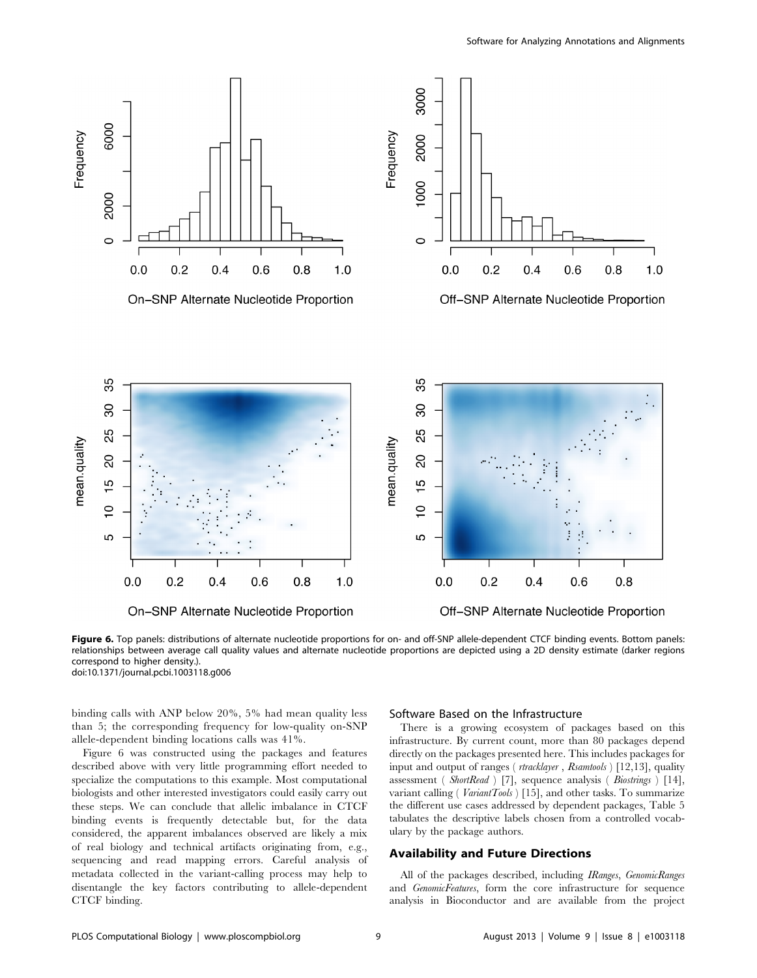

Figure 6. Top panels: distributions of alternate nucleotide proportions for on- and off-SNP allele-dependent CTCF binding events. Bottom panels: relationships between average call quality values and alternate nucleotide proportions are depicted using a 2D density estimate (darker regions correspond to higher density.). doi:10.1371/journal.pcbi.1003118.g006

binding calls with ANP below 20%, 5% had mean quality less than 5; the corresponding frequency for low-quality on-SNP allele-dependent binding locations calls was 41%.

Figure 6 was constructed using the packages and features described above with very little programming effort needed to specialize the computations to this example. Most computational biologists and other interested investigators could easily carry out these steps. We can conclude that allelic imbalance in CTCF binding events is frequently detectable but, for the data considered, the apparent imbalances observed are likely a mix of real biology and technical artifacts originating from, e.g., sequencing and read mapping errors. Careful analysis of metadata collected in the variant-calling process may help to disentangle the key factors contributing to allele-dependent CTCF binding.

## Software Based on the Infrastructure

There is a growing ecosystem of packages based on this infrastructure. By current count, more than 80 packages depend directly on the packages presented here. This includes packages for input and output of ranges ( rtracklayer, Rsamtools ) [12,13], quality assessment ( ShortRead ) [7], sequence analysis ( Biostrings ) [14], variant calling ( $\textit{VariantTools}$  ) [15], and other tasks. To summarize the different use cases addressed by dependent packages, Table 5 tabulates the descriptive labels chosen from a controlled vocabulary by the package authors.

#### Availability and Future Directions

All of the packages described, including IRanges, GenomicRanges and GenomicFeatures, form the core infrastructure for sequence analysis in Bioconductor and are available from the project